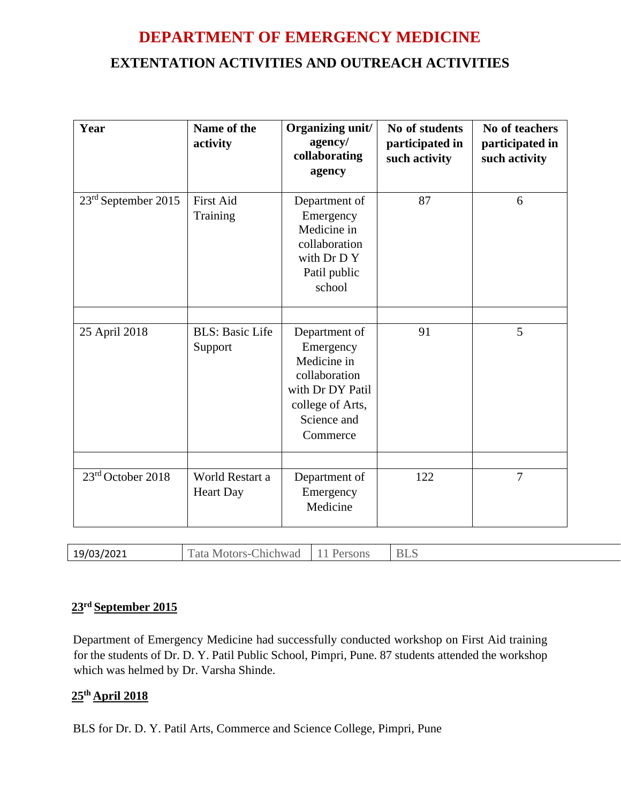# **DEPARTMENT OF EMERGENCY MEDICINE EXTENTATION ACTIVITIES AND OUTREACH ACTIVITIES**

| Year                          | Name of the<br>activity             | Organizing unit/<br>agency/<br>collaborating<br>agency                                                                        | No of students<br>participated in<br>such activity | No of teachers<br>participated in<br>such activity |
|-------------------------------|-------------------------------------|-------------------------------------------------------------------------------------------------------------------------------|----------------------------------------------------|----------------------------------------------------|
| $23rd$ September 2015         | <b>First Aid</b><br>Training        | Department of<br>Emergency<br>Medicine in<br>collaboration<br>with Dr D Y<br>Patil public<br>school                           | 87                                                 | 6                                                  |
| 25 April 2018                 | <b>BLS: Basic Life</b><br>Support   | Department of<br>Emergency<br>Medicine in<br>collaboration<br>with Dr DY Patil<br>college of Arts,<br>Science and<br>Commerce | 91                                                 | 5                                                  |
| 23 <sup>rd</sup> October 2018 | World Restart a<br><b>Heart Day</b> | Department of<br>Emergency<br>Medicine                                                                                        | 122                                                | $\overline{7}$                                     |

| 19/03/2021 | Tata Motors-Chichwad | Persons | <b>BLS</b> |
|------------|----------------------|---------|------------|
|            |                      |         |            |

### **23rd September 2015**

Department of Emergency Medicine had successfully conducted workshop on First Aid training for the students of Dr. D. Y. Patil Public School, Pimpri, Pune. 87 students attended the workshop which was helmed by Dr. Varsha Shinde.

#### **25th April 2018**

BLS for Dr. D. Y. Patil Arts, Commerce and Science College, Pimpri, Pune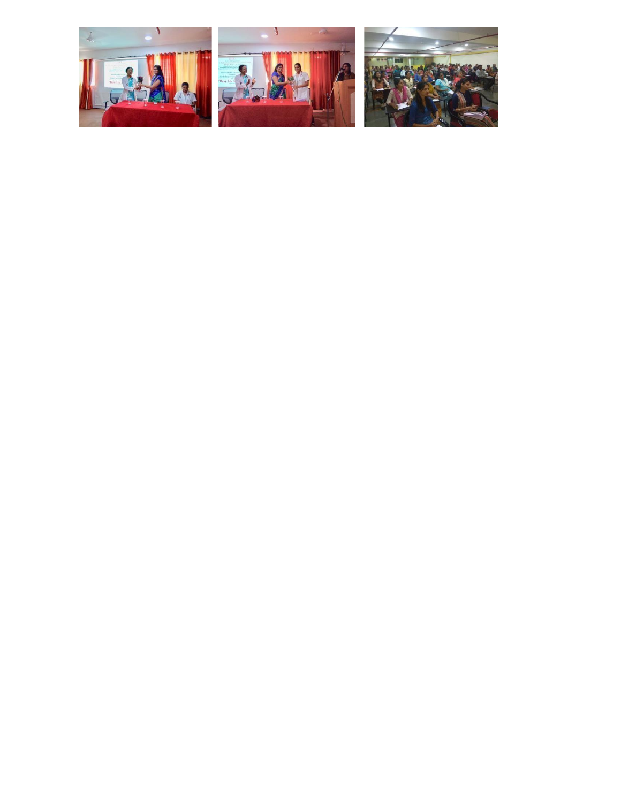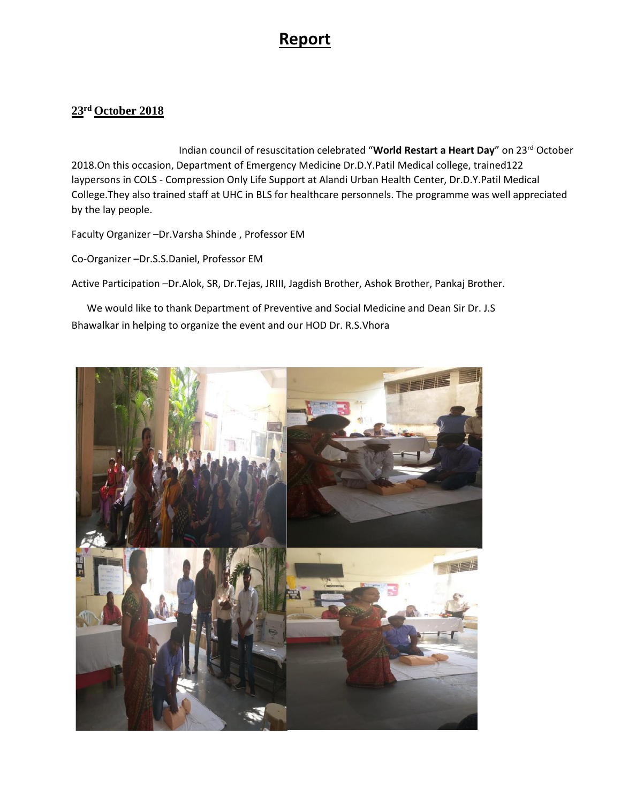## **Report**

#### **23rd October 2018**

Indian council of resuscitation celebrated "**World Restart a Heart Day**" on 23rd October 2018.On this occasion, Department of Emergency Medicine Dr.D.Y.Patil Medical college, trained122 laypersons in COLS - Compression Only Life Support at Alandi Urban Health Center, Dr.D.Y.Patil Medical College.They also trained staff at UHC in BLS for healthcare personnels. The programme was well appreciated by the lay people.

Faculty Organizer –Dr.Varsha Shinde , Professor EM

Co-Organizer –Dr.S.S.Daniel, Professor EM

Active Participation –Dr.Alok, SR, Dr.Tejas, JRIII, Jagdish Brother, Ashok Brother, Pankaj Brother.

We would like to thank Department of Preventive and Social Medicine and Dean Sir Dr. J.S Bhawalkar in helping to organize the event and our HOD Dr. R.S.Vhora

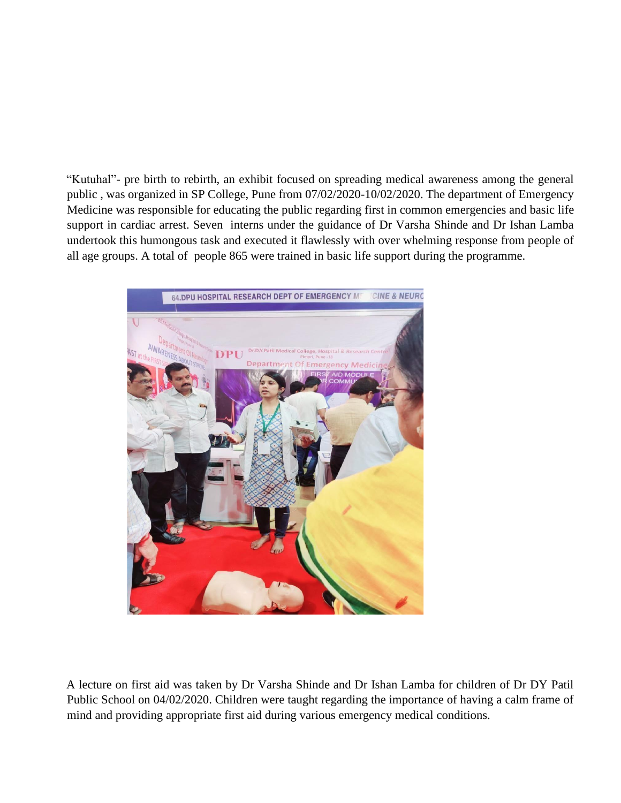"Kutuhal"- pre birth to rebirth, an exhibit focused on spreading medical awareness among the general public , was organized in SP College, Pune from 07/02/2020-10/02/2020. The department of Emergency Medicine was responsible for educating the public regarding first in common emergencies and basic life support in cardiac arrest. Seven interns under the guidance of Dr Varsha Shinde and Dr Ishan Lamba undertook this humongous task and executed it flawlessly with over whelming response from people of all age groups. A total of people 865 were trained in basic life support during the programme.



A lecture on first aid was taken by Dr Varsha Shinde and Dr Ishan Lamba for children of Dr DY Patil Public School on 04/02/2020. Children were taught regarding the importance of having a calm frame of mind and providing appropriate first aid during various emergency medical conditions.